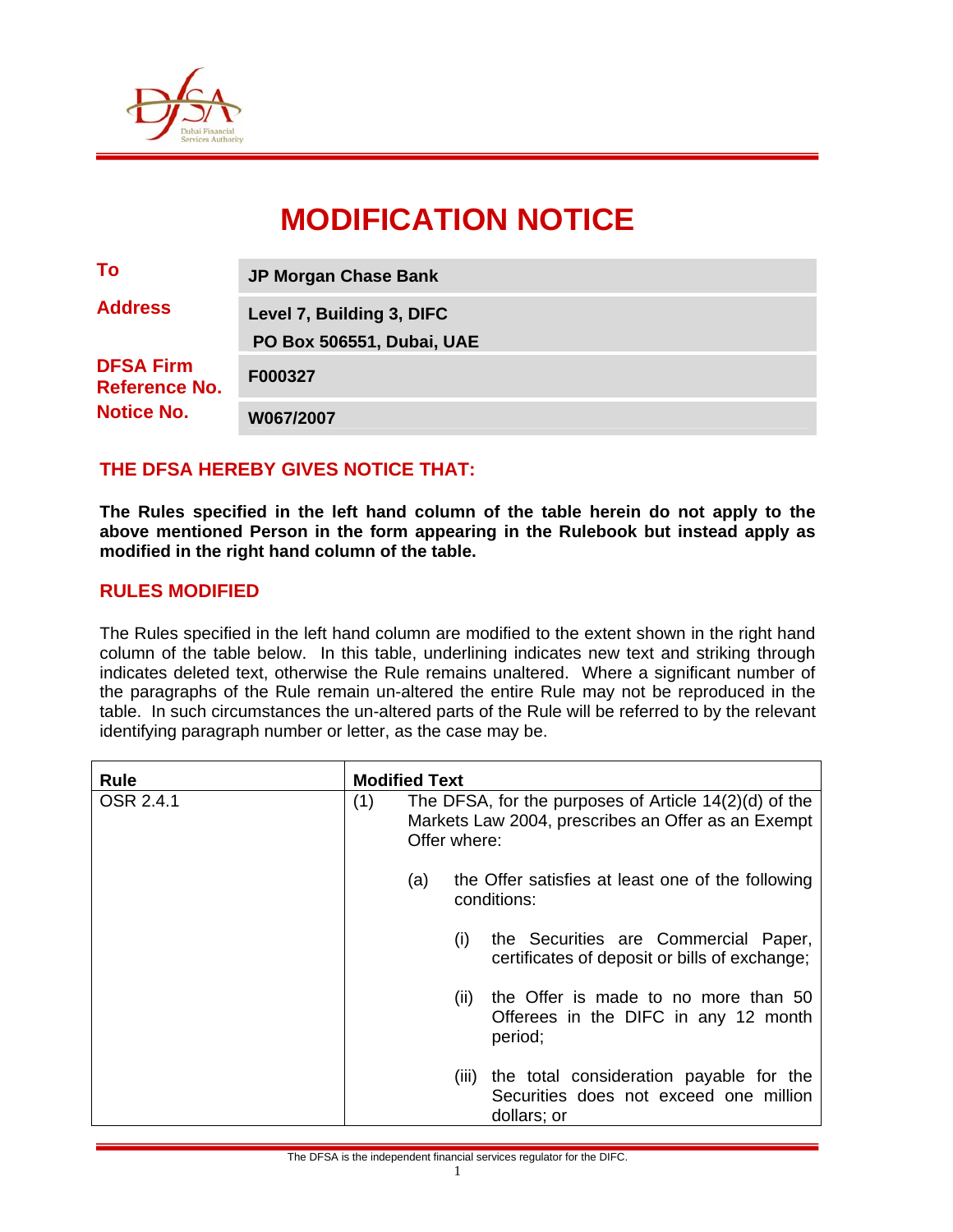

# **MODIFICATION NOTICE**

| To                                       | <b>JP Morgan Chase Bank</b> |  |  |
|------------------------------------------|-----------------------------|--|--|
| <b>Address</b>                           | Level 7, Building 3, DIFC   |  |  |
|                                          | PO Box 506551, Dubai, UAE   |  |  |
| <b>DFSA Firm</b><br><b>Reference No.</b> | F000327                     |  |  |
| <b>Notice No.</b>                        | W067/2007                   |  |  |

### **THE DFSA HEREBY GIVES NOTICE THAT:**

**The Rules specified in the left hand column of the table herein do not apply to the above mentioned Person in the form appearing in the Rulebook but instead apply as modified in the right hand column of the table.** 

#### **RULES MODIFIED**

The Rules specified in the left hand column are modified to the extent shown in the right hand column of the table below. In this table, underlining indicates new text and striking through indicates deleted text, otherwise the Rule remains unaltered. Where a significant number of the paragraphs of the Rule remain un-altered the entire Rule may not be reproduced in the table. In such circumstances the un-altered parts of the Rule will be referred to by the relevant identifying paragraph number or letter, as the case may be.

| <b>Rule</b>      | <b>Modified Text</b>                                                                                                                 |  |  |
|------------------|--------------------------------------------------------------------------------------------------------------------------------------|--|--|
| <b>OSR 2.4.1</b> | The DFSA, for the purposes of Article $14(2)(d)$ of the<br>(1)<br>Markets Law 2004, prescribes an Offer as an Exempt<br>Offer where: |  |  |
|                  | the Offer satisfies at least one of the following<br>(a)<br>conditions:                                                              |  |  |
|                  | the Securities are Commercial Paper,<br>(i)<br>certificates of deposit or bills of exchange;                                         |  |  |
|                  | the Offer is made to no more than 50<br>(ii)<br>Offerees in the DIFC in any 12 month<br>period;                                      |  |  |
|                  | the total consideration payable for the<br>(III)<br>Securities does not exceed one million<br>dollars; or                            |  |  |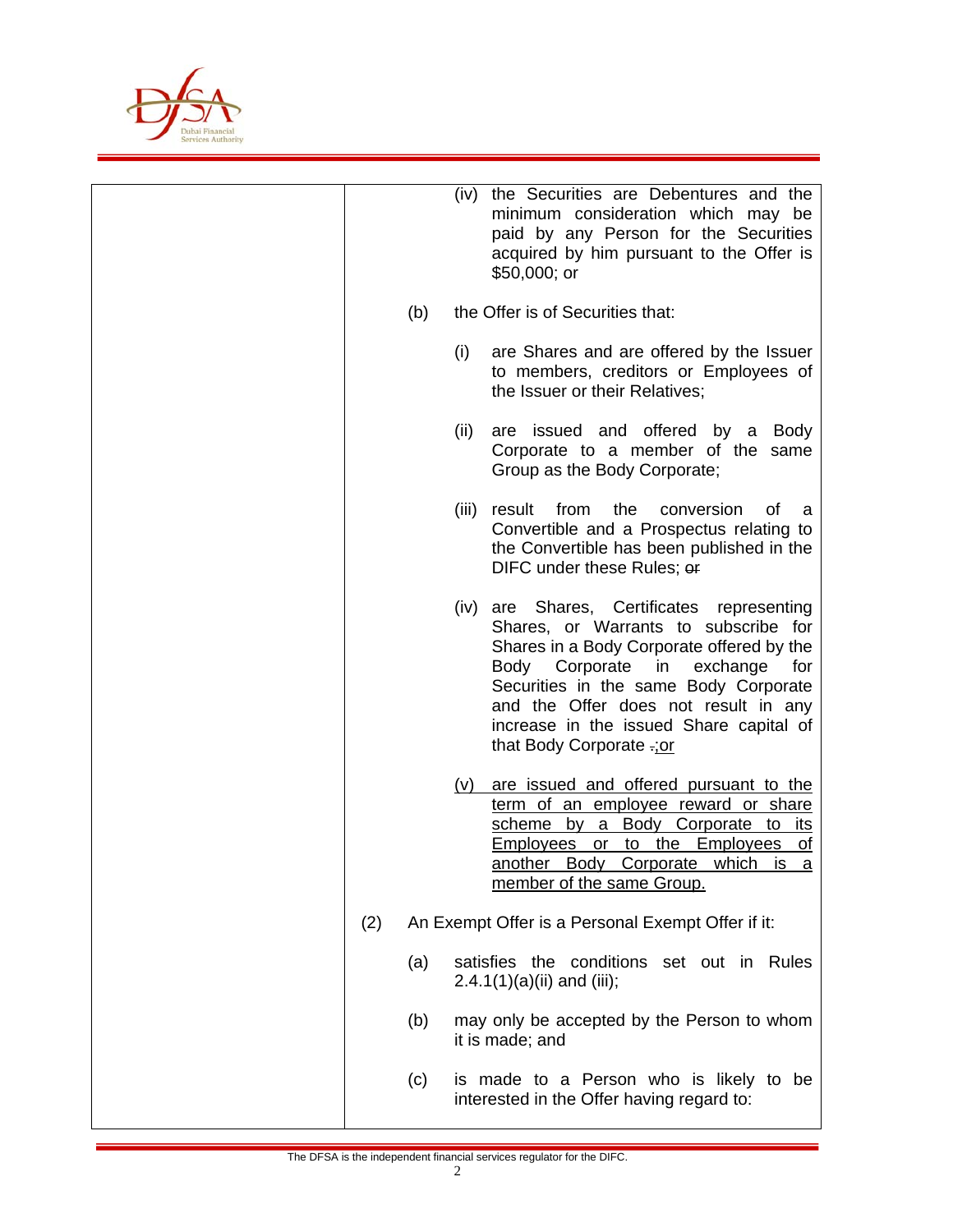

|     |     | (iv) the Securities are Debentures and the<br>minimum consideration which may be<br>paid by any Person for the Securities<br>acquired by him pursuant to the Offer is<br>$$50,000;$ or                                                                                                                                           |
|-----|-----|----------------------------------------------------------------------------------------------------------------------------------------------------------------------------------------------------------------------------------------------------------------------------------------------------------------------------------|
|     | (b) | the Offer is of Securities that:                                                                                                                                                                                                                                                                                                 |
|     |     | (i)<br>are Shares and are offered by the Issuer<br>to members, creditors or Employees of<br>the Issuer or their Relatives;                                                                                                                                                                                                       |
|     |     | (ii)<br>are issued and offered by a<br><b>Body</b><br>Corporate to a member of the same<br>Group as the Body Corporate;                                                                                                                                                                                                          |
|     |     | from<br>(iii)<br>result<br>the<br>conversion<br>οf<br>a<br>Convertible and a Prospectus relating to<br>the Convertible has been published in the<br>DIFC under these Rules; or                                                                                                                                                   |
|     |     | are Shares, Certificates representing<br>(iv)<br>Shares, or Warrants to subscribe for<br>Shares in a Body Corporate offered by the<br>Body Corporate in exchange<br>for<br>Securities in the same Body Corporate<br>and the Offer does not result in any<br>increase in the issued Share capital of<br>that Body Corporate .: or |
|     |     | are issued and offered pursuant to the<br>(V)<br>term of an employee reward or share<br>scheme by a Body Corporate to<br><u>its</u><br><b>Employees</b> or<br>to the Employees<br><u>of</u><br>another Body Corporate which<br><u>is a</u><br>member of the same Group.                                                          |
| (2) |     | An Exempt Offer is a Personal Exempt Offer if it:                                                                                                                                                                                                                                                                                |
|     | (a) | satisfies the conditions set out in Rules<br>$2.4.1(1)(a)(ii)$ and (iii);                                                                                                                                                                                                                                                        |
|     | (b) | may only be accepted by the Person to whom<br>it is made; and                                                                                                                                                                                                                                                                    |
|     | (c) | is made to a Person who is likely to be<br>interested in the Offer having regard to:                                                                                                                                                                                                                                             |